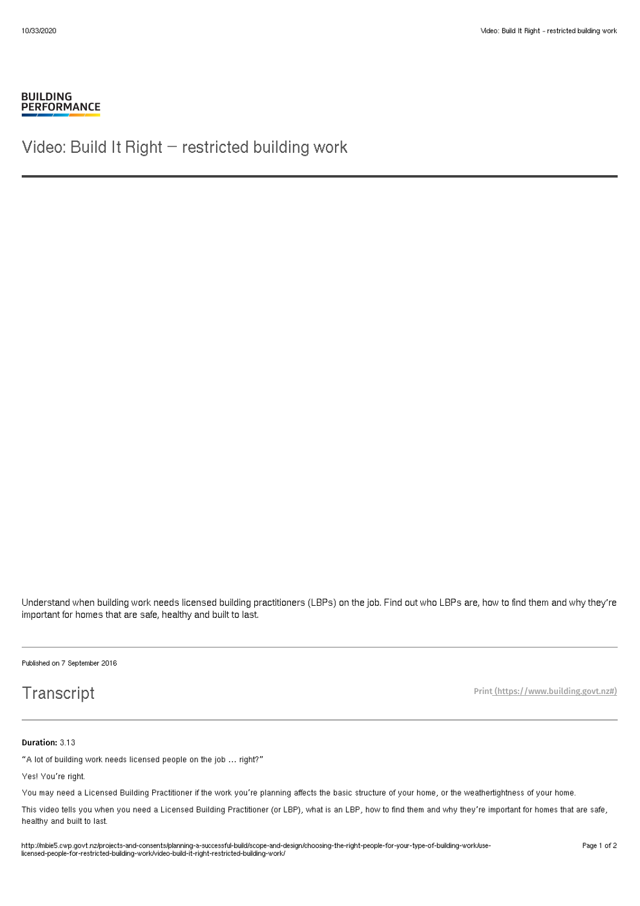### **BUILDING PERFORMANCE**

Video: Build It Right – restricted building work

Understand when building work needs licensed building practitioners (LBPs) on the job. Find out who LBPs are, how to find them and why they're important for homes that are safe, healthy and built to last.

Published on 7 September 2016

# **Transcript**

Print [\(https://www.building.govt.nz#\)](http://mbie5.cwp.govt.nz/#)

### Duration: 3.13

"A lot of building work needs licensed people on the job … right?"

Yes! You're right.

You may need a Licensed Building Practitioner if the work you're planning affects the basic structure of your home, or the weathertightness of your home.

This video tells you when you need a Licensed Building Practitioner (or LBP), what is an LBP, how to find them and why they're important for homes that are safe, healthy and built to last.